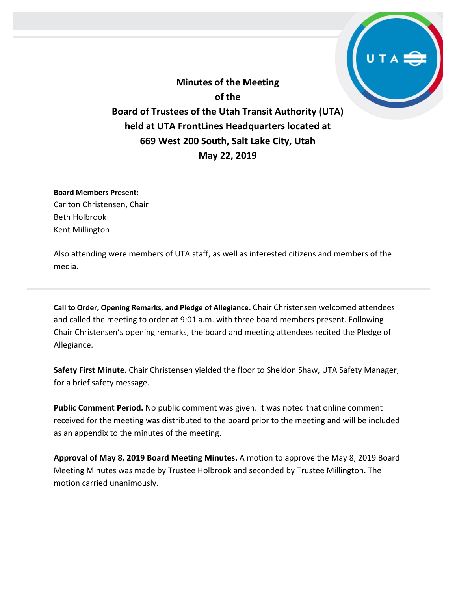**Minutes of the Meeting of the Board of Trustees of the Utah Transit Authority (UTA) held at UTA FrontLines Headquarters located at 669 West 200 South, Salt Lake City, Utah May 22, 2019**

**Board Members Present:** Carlton Christensen, Chair Beth Holbrook Kent Millington

Also attending were members of UTA staff, as well as interested citizens and members of the media.

**Call to Order, Opening Remarks, and Pledge of Allegiance.** Chair Christensen welcomed attendees and called the meeting to order at 9:01 a.m. with three board members present. Following Chair Christensen's opening remarks, the board and meeting attendees recited the Pledge of Allegiance.

**Safety First Minute.** Chair Christensen yielded the floor to Sheldon Shaw, UTA Safety Manager, for a brief safety message.

**Public Comment Period.** No public comment was given. It was noted that online comment received for the meeting was distributed to the board prior to the meeting and will be included as an appendix to the minutes of the meeting.

**Approval of May 8, 2019 Board Meeting Minutes.** A motion to approve the May 8, 2019 Board Meeting Minutes was made by Trustee Holbrook and seconded by Trustee Millington. The motion carried unanimously.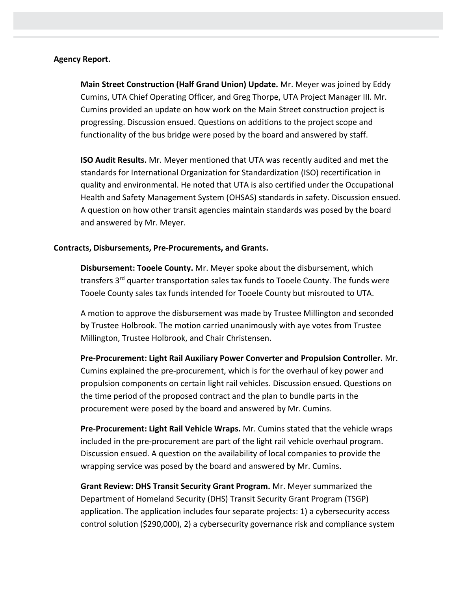## **Agency Report.**

**Main Street Construction (Half Grand Union) Update.** Mr. Meyer was joined by Eddy Cumins, UTA Chief Operating Officer, and Greg Thorpe, UTA Project Manager III. Mr. Cumins provided an update on how work on the Main Street construction project is progressing. Discussion ensued. Questions on additions to the project scope and functionality of the bus bridge were posed by the board and answered by staff.

**ISO Audit Results.** Mr. Meyer mentioned that UTA was recently audited and met the standards for International Organization for Standardization (ISO) recertification in quality and environmental. He noted that UTA is also certified under the Occupational Health and Safety Management System (OHSAS) standards in safety. Discussion ensued. A question on how other transit agencies maintain standards was posed by the board and answered by Mr. Meyer.

## **Contracts, Disbursements, Pre-Procurements, and Grants.**

**Disbursement: Tooele County.** Mr. Meyer spoke about the disbursement, which transfers 3<sup>rd</sup> quarter transportation sales tax funds to Tooele County. The funds were Tooele County sales tax funds intended for Tooele County but misrouted to UTA.

A motion to approve the disbursement was made by Trustee Millington and seconded by Trustee Holbrook. The motion carried unanimously with aye votes from Trustee Millington, Trustee Holbrook, and Chair Christensen.

**Pre-Procurement: Light Rail Auxiliary Power Converter and Propulsion Controller.** Mr. Cumins explained the pre-procurement, which is for the overhaul of key power and propulsion components on certain light rail vehicles. Discussion ensued. Questions on the time period of the proposed contract and the plan to bundle parts in the procurement were posed by the board and answered by Mr. Cumins.

**Pre-Procurement: Light Rail Vehicle Wraps.** Mr. Cumins stated that the vehicle wraps included in the pre-procurement are part of the light rail vehicle overhaul program. Discussion ensued. A question on the availability of local companies to provide the wrapping service was posed by the board and answered by Mr. Cumins.

**Grant Review: DHS Transit Security Grant Program.** Mr. Meyer summarized the Department of Homeland Security (DHS) Transit Security Grant Program (TSGP) application. The application includes four separate projects: 1) a cybersecurity access control solution (\$290,000), 2) a cybersecurity governance risk and compliance system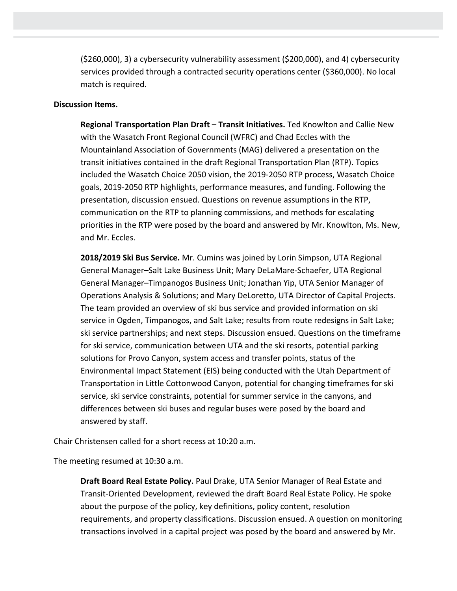(\$260,000), 3) a cybersecurity vulnerability assessment (\$200,000), and 4) cybersecurity services provided through a contracted security operations center (\$360,000). No local match is required.

# **Discussion Items.**

**Regional Transportation Plan Draft – Transit Initiatives.** Ted Knowlton and Callie New with the Wasatch Front Regional Council (WFRC) and Chad Eccles with the Mountainland Association of Governments (MAG) delivered a presentation on the transit initiatives contained in the draft Regional Transportation Plan (RTP). Topics included the Wasatch Choice 2050 vision, the 2019-2050 RTP process, Wasatch Choice goals, 2019-2050 RTP highlights, performance measures, and funding. Following the presentation, discussion ensued. Questions on revenue assumptions in the RTP, communication on the RTP to planning commissions, and methods for escalating priorities in the RTP were posed by the board and answered by Mr. Knowlton, Ms. New, and Mr. Eccles.

**2018/2019 Ski Bus Service.** Mr. Cumins was joined by Lorin Simpson, UTA Regional General Manager–Salt Lake Business Unit; Mary DeLaMare-Schaefer, UTA Regional General Manager–Timpanogos Business Unit; Jonathan Yip, UTA Senior Manager of Operations Analysis & Solutions; and Mary DeLoretto, UTA Director of Capital Projects. The team provided an overview of ski bus service and provided information on ski service in Ogden, Timpanogos, and Salt Lake; results from route redesigns in Salt Lake; ski service partnerships; and next steps. Discussion ensued. Questions on the timeframe for ski service, communication between UTA and the ski resorts, potential parking solutions for Provo Canyon, system access and transfer points, status of the Environmental Impact Statement (EIS) being conducted with the Utah Department of Transportation in Little Cottonwood Canyon, potential for changing timeframes for ski service, ski service constraints, potential for summer service in the canyons, and differences between ski buses and regular buses were posed by the board and answered by staff.

Chair Christensen called for a short recess at 10:20 a.m.

The meeting resumed at 10:30 a.m.

**Draft Board Real Estate Policy.** Paul Drake, UTA Senior Manager of Real Estate and Transit-Oriented Development, reviewed the draft Board Real Estate Policy. He spoke about the purpose of the policy, key definitions, policy content, resolution requirements, and property classifications. Discussion ensued. A question on monitoring transactions involved in a capital project was posed by the board and answered by Mr.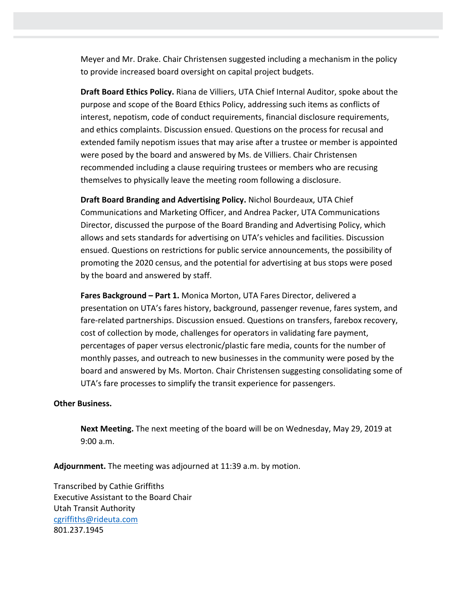Meyer and Mr. Drake. Chair Christensen suggested including a mechanism in the policy to provide increased board oversight on capital project budgets.

**Draft Board Ethics Policy.** Riana de Villiers, UTA Chief Internal Auditor, spoke about the purpose and scope of the Board Ethics Policy, addressing such items as conflicts of interest, nepotism, code of conduct requirements, financial disclosure requirements, and ethics complaints. Discussion ensued. Questions on the process for recusal and extended family nepotism issues that may arise after a trustee or member is appointed were posed by the board and answered by Ms. de Villiers. Chair Christensen recommended including a clause requiring trustees or members who are recusing themselves to physically leave the meeting room following a disclosure.

**Draft Board Branding and Advertising Policy.** Nichol Bourdeaux, UTA Chief Communications and Marketing Officer, and Andrea Packer, UTA Communications Director, discussed the purpose of the Board Branding and Advertising Policy, which allows and sets standards for advertising on UTA's vehicles and facilities. Discussion ensued. Questions on restrictions for public service announcements, the possibility of promoting the 2020 census, and the potential for advertising at bus stops were posed by the board and answered by staff.

**Fares Background – Part 1.** Monica Morton, UTA Fares Director, delivered a presentation on UTA's fares history, background, passenger revenue, fares system, and fare-related partnerships. Discussion ensued. Questions on transfers, farebox recovery, cost of collection by mode, challenges for operators in validating fare payment, percentages of paper versus electronic/plastic fare media, counts for the number of monthly passes, and outreach to new businesses in the community were posed by the board and answered by Ms. Morton. Chair Christensen suggesting consolidating some of UTA's fare processes to simplify the transit experience for passengers.

#### **Other Business.**

**Next Meeting.** The next meeting of the board will be on Wednesday, May 29, 2019 at 9:00 a.m.

**Adjournment.** The meeting was adjourned at 11:39 a.m. by motion.

Transcribed by Cathie Griffiths Executive Assistant to the Board Chair Utah Transit Authority [cgriffiths@rideuta.com](mailto:cgriffiths@rideuta.com) 801.237.1945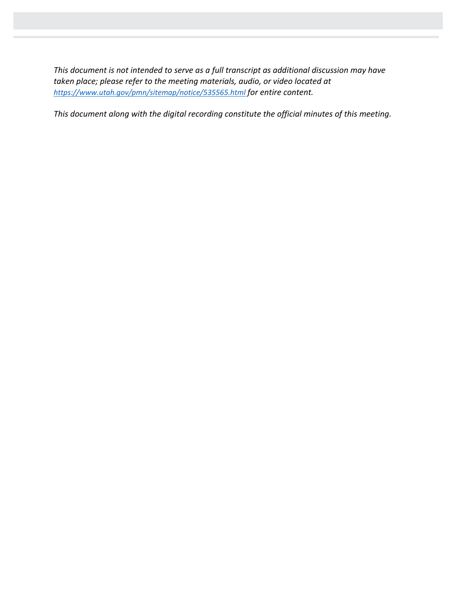*This document is not intended to serve as a full transcript as additional discussion may have taken place; please refer to the meeting materials, audio, or video located at <https://www.utah.gov/pmn/sitemap/notice/535565.html> for entire content.*

*This document along with the digital recording constitute the official minutes of this meeting.*